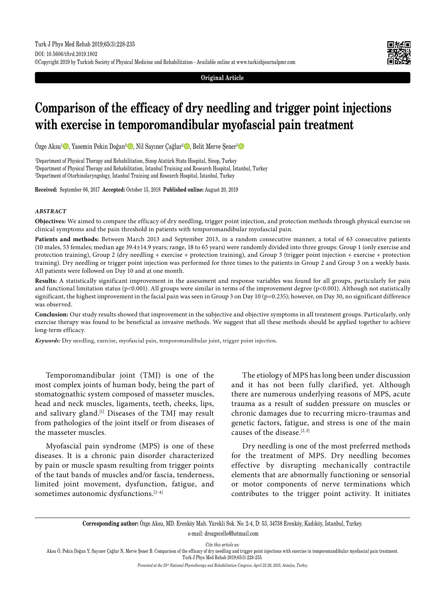**Original Article**

# **Comparison of the efficacy of dry needling and trigger point injections with exercise in temporomandibular myofascial pain treatment**

Özge Aksu<sup>1</sup> D, Yasemin Pekin Doğan<sup>2</sup> D, Nil Sayıner Çağlar<sup>2</sup> D, Belit Merve Şener<sup>3</sup> D

1 Department of Physical Therapy and Rehabilitation, Sinop Atatürk State Hospital, Sinop, Turkey 2 Department of Physical Therapy and Rehabilitation, İstanbul Training and Research Hospital, İstanbul, Turkey 3 Department of Otorhinolaryngology, İstanbul Training and Research Hospital, İstanbul, Turkey

**Received:** September 06, 2017 **Accepted:** October 15, 2018 **Published online:** August 20, 2019

#### *ABSTRACT*

**Objectives:** We aimed to compare the efficacy of dry needling, trigger point injection, and protection methods through physical exercise on clinical symptoms and the pain threshold in patients with temporomandibular myofascial pain.

**Patients and methods:** Between March 2013 and September 2013, in a random consecutive manner, a total of 63 consecutive patients (10 males, 53 females; median age 39.4±14.9 years; range, 18 to 65 years) were randomly divided into three groups: Group 1 (only exercise and protection training), Group 2 (dry needling + exercise + protection training), and Group 3 (trigger point injection + exercise + protection training). Dry needling or trigger point injection was performed for three times to the patients in Group 2 and Group 3 on a weekly basis. All patients were followed on Day 10 and at one month.

**Results:** A statistically significant improvement in the assessment and response variables was found for all groups, particularly for pain and functional limitation status (p<0.001). All groups were similar in terms of the improvement degree (p<0.001). Although not statistically significant, the highest improvement in the facial pain was seen in Group 3 on Day 10 (p=0.235); however, on Day 30, no significant difference was observed.

**Conclusion:** Our study results showed that improvement in the subjective and objective symptoms in all treatment groups. Particularly, only exercise therapy was found to be beneficial as invasive methods. We suggest that all these methods should be applied together to achieve long-term efficacy.

*Keywords:* Dry needling, exercise, myofascial pain, temporomandibular joint, trigger point injection.

Temporomandibular joint (TMJ) is one of the most complex joints of human body, being the part of stomatognathic system composed of masseter muscles, head and neck muscles, ligaments, teeth, cheeks, lips, and salivary gland.[1] Diseases of the TMJ may result from pathologies of the joint itself or from diseases of the masseter muscles.

Myofascial pain syndrome (MPS) is one of these diseases. It is a chronic pain disorder characterized by pain or muscle spasm resulting from trigger points of the taut bands of muscles and/or fascia, tenderness, limited joint movement, dysfunction, fatigue, and sometimes autonomic dysfunctions. $[2-4]$ 

The etiology of MPS has long been under discussion and it has not been fully clarified, yet. Although there are numerous underlying reasons of MPS, acute trauma as a result of sudden pressure on muscles or chronic damages due to recurring micro-traumas and genetic factors, fatigue, and stress is one of the main causes of the disease.[2,3]

Dry needling is one of the most preferred methods for the treatment of MPS. Dry needling becomes effective by disrupting mechanically contractile elements that are abnormally functioning or sensorial or motor components of nerve terminations which contributes to the trigger point activity. It initiates

**Corresponding author:** Özge Aksu, MD. Erenköy Mah. Yürekli Sok. No: 2-4, D: 53, 34738 Erenköy, Kadıköy, İstanbul, Turkey.

e-mail: drozgecello@hotmail.com

*Cite this article as:*

Aksu Ö, Pekin Doğan Y, Sayıner Çağlar N, Merve Şener B. Comparison of the efficacy of dry needling and trigger point injections with exercise in temporomandibular myofascial pain treatment. Turk J Phys Med Rehab 2019;65(3):228-235.

*Presented at the 25th National Physiotherapy and Rehabilitation Congress, April 22-26, 2015, Antalya, Turkey*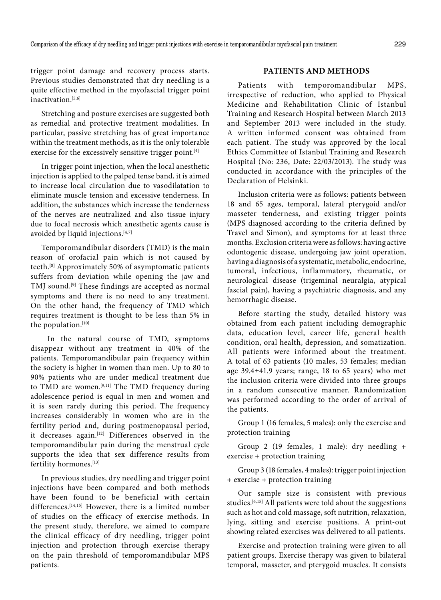trigger point damage and recovery process starts. Previous studies demonstrated that dry needling is a quite effective method in the myofascial trigger point inactivation.<sup>[5,6]</sup>

Stretching and posture exercises are suggested both as remedial and protective treatment modalities. In particular, passive stretching has of great importance within the treatment methods, as it is the only tolerable exercise for the excessively sensitive trigger point.<sup>[4]</sup>

In trigger point injection, when the local anesthetic injection is applied to the palped tense band, it is aimed to increase local circulation due to vasodilatation to eliminate muscle tension and excessive tenderness. In addition, the substances which increase the tenderness of the nerves are neutralized and also tissue injury due to focal necrosis which anesthetic agents cause is avoided by liquid injections.<sup>[4,7]</sup>

Temporomandibular disorders (TMD) is the main reason of orofacial pain which is not caused by teeth.[8] Approximately 50% of asymptomatic patients suffers from deviation while opening the jaw and TMJ sound.<sup>[9]</sup> These findings are accepted as normal symptoms and there is no need to any treatment. On the other hand, the frequency of TMD which requires treatment is thought to be less than 5% in the population.[10]

 In the natural course of TMD, symptoms disappear without any treatment in 40% of the patients. Temporomandibular pain frequency within the society is higher in women than men. Up to 80 to 90% patients who are under medical treatment due to TMD are women.<sup>[9,11]</sup> The TMD frequency during adolescence period is equal in men and women and it is seen rarely during this period. The frequency increases considerably in women who are in the fertility period and, during postmenopausal period, it decreases again.[12] Differences observed in the temporomandibular pain during the menstrual cycle supports the idea that sex difference results from fertility hormones.[13]

In previous studies, dry needling and trigger point injections have been compared and both methods have been found to be beneficial with certain differences.<sup>[14,15]</sup> However, there is a limited number of studies on the efficacy of exercise methods. In the present study, therefore, we aimed to compare the clinical efficacy of dry needling, trigger point injection and protection through exercise therapy on the pain threshold of temporomandibular MPS patients.

# **PATIENTS AND METHODS**

Patients with temporomandibular MPS, irrespective of reduction, who applied to Physical Medicine and Rehabilitation Clinic of Istanbul Training and Research Hospital between March 2013 and September 2013 were included in the study. A written informed consent was obtained from each patient. The study was approved by the local Ethics Committee of Istanbul Training and Research Hospital (No: 236, Date: 22/03/2013). The study was conducted in accordance with the principles of the Declaration of Helsinki.

Inclusion criteria were as follows: patients between 18 and 65 ages, temporal, lateral pterygoid and/or masseter tenderness, and existing trigger points (MPS diagnosed according to the criteria defined by Travel and Simon), and symptoms for at least three months. Exclusion criteria were as follows: having active odontogenic disease, undergoing jaw joint operation, having a diagnosis of a systematic, metabolic, endocrine, tumoral, infectious, inflammatory, rheumatic, or neurological disease (trigeminal neuralgia, atypical fascial pain), having a psychiatric diagnosis, and any hemorrhagic disease.

Before starting the study, detailed history was obtained from each patient including demographic data, education level, career life, general health condition, oral health, depression, and somatization. All patients were informed about the treatment. A total of 63 patients (10 males, 53 females; median age 39.4±41.9 years; range, 18 to 65 years) who met the inclusion criteria were divided into three groups in a random consecutive manner. Randomization was performed according to the order of arrival of the patients.

Group 1 (16 females, 5 males): only the exercise and protection training

Group 2 (19 females, 1 male): dry needling + exercise + protection training

Group 3 (18 females, 4 males): trigger point injection + exercise + protection training

Our sample size is consistent with previous studies.[6,15] All patients were told about the suggestions such as hot and cold massage, soft nutrition, relaxation, lying, sitting and exercise positions. A print-out showing related exercises was delivered to all patients.

Exercise and protection training were given to all patient groups. Exercise therapy was given to bilateral temporal, masseter, and pterygoid muscles. It consists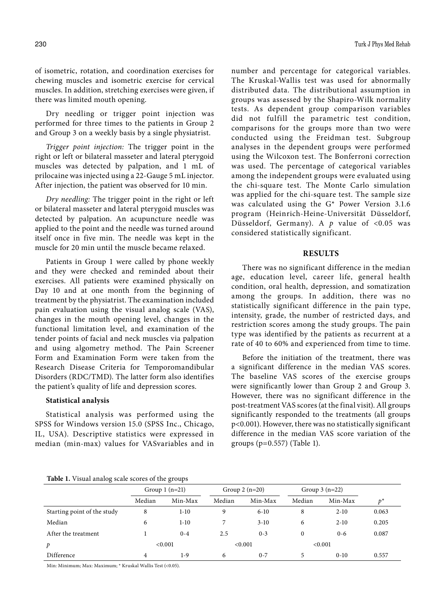of isometric, rotation, and coordination exercises for chewing muscles and isometric exercise for cervical muscles. In addition, stretching exercises were given, if there was limited mouth opening.

Dry needling or trigger point injection was performed for three times to the patients in Group 2 and Group 3 on a weekly basis by a single physiatrist.

*Trigger point injection:* The trigger point in the right or left or bilateral masseter and lateral pterygoid muscles was detected by palpation, and 1 mL of prilocaine was injected using a 22-Gauge 5 mL injector. After injection, the patient was observed for 10 min.

*Dry needling:* The trigger point in the right or left or bilateral masseter and lateral pterygoid muscles was detected by palpation. An acupuncture needle was applied to the point and the needle was turned around itself once in five min. The needle was kept in the muscle for 20 min until the muscle became relaxed.

Patients in Group 1 were called by phone weekly and they were checked and reminded about their exercises. All patients were examined physically on Day 10 and at one month from the beginning of treatment by the physiatrist. The examination included pain evaluation using the visual analog scale (VAS), changes in the mouth opening level, changes in the functional limitation level, and examination of the tender points of facial and neck muscles via palpation and using algometry method. The Pain Screener Form and Examination Form were taken from the Research Disease Criteria for Temporomandibular Disorders (RDC/TMD). The latter form also identifies the patient's quality of life and depression scores.

## **Statistical analysis**

Statistical analysis was performed using the SPSS for Windows version 15.0 (SPSS Inc., Chicago, IL, USA). Descriptive statistics were expressed in median (min-max) values for VASvariables and in number and percentage for categorical variables. The Kruskal-Wallis test was used for abnormally distributed data. The distributional assumption in groups was assessed by the Shapiro-Wilk normality tests. As dependent group comparison variables did not fulfill the parametric test condition, comparisons for the groups more than two were conducted using the Freidman test. Subgroup analyses in the dependent groups were performed using the Wilcoxon test. The Bonferroni correction was used. The percentage of categorical variables among the independent groups were evaluated using the chi-square test. The Monte Carlo simulation was applied for the chi-square test. The sample size was calculated using the G\* Power Version 3.1.6 program (Heinrich-Heine-Universität Düsseldorf, Düsseldorf, Germany). A *p* value of <0.05 was considered statistically significant.

# **RESULTS**

There was no significant difference in the median age, education level, career life, general health condition, oral health, depression, and somatization among the groups. In addition, there was no statistically significant difference in the pain type, intensity, grade, the number of restricted days, and restriction scores among the study groups. The pain type was identified by the patients as recurrent at a rate of 40 to 60% and experienced from time to time.

Before the initiation of the treatment, there was a significant difference in the median VAS scores. The baseline VAS scores of the exercise groups were significantly lower than Group 2 and Group 3. However, there was no significant difference in the post-treatment VAS scores (at the final visit). All groups significantly responded to the treatments (all groups p<0.001). However, there was no statistically significant difference in the median VAS score variation of the groups (p=0.557) (Table 1).

| Table 1. Visual analog scale scores of the groups |  |  |  |  |  |  |
|---------------------------------------------------|--|--|--|--|--|--|
|---------------------------------------------------|--|--|--|--|--|--|

|                             | Group $1(n=21)$ |          | Group $2(n=20)$ |          | Group $3(n=22)$ |          |       |
|-----------------------------|-----------------|----------|-----------------|----------|-----------------|----------|-------|
|                             | Median          | Min-Max  | Median          | Min-Max  | Median          | Min-Max  | $p^*$ |
| Starting point of the study | 8               | 1-10     | 9               | $6 - 10$ | 8               | $2 - 10$ | 0.063 |
| Median                      | 6               | $1 - 10$ |                 | $3-10$   | 6               | $2 - 10$ | 0.205 |
| After the treatment         |                 | $0 - 4$  | 2.5             | $0 - 3$  | 0               | $0 - 6$  | 0.087 |
| p                           | < 0.001         |          | < 0.001         |          | < 0.001         |          |       |
| Difference                  | 4               | 1-9      | 6               | $0 - 7$  | 5               | $0 - 10$ | 0.557 |

Min: Minimum; Max: Maximum; \* Kruskal Wallis Test (<0.05).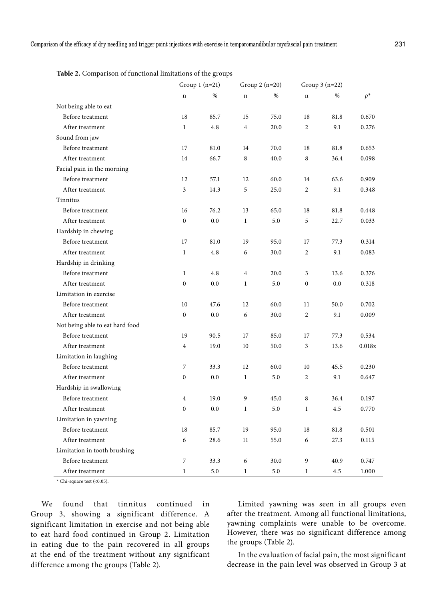|                                 |                | Group $1$ (n=21) |                | Group $2(n=20)$ |                | Group $3(n=22)$ |        |
|---------------------------------|----------------|------------------|----------------|-----------------|----------------|-----------------|--------|
|                                 | n              | $\%$             | $\mathbf n$    | $\%$            | n              | $\%$            | $p^*$  |
| Not being able to eat           |                |                  |                |                 |                |                 |        |
| Before treatment                | 18             | 85.7             | 15             | 75.0            | 18             | 81.8            | 0.670  |
| After treatment                 | $\mathbf{1}$   | 4.8              | $\overline{4}$ | 20.0            | $\overline{c}$ | 9.1             | 0.276  |
| Sound from jaw                  |                |                  |                |                 |                |                 |        |
| Before treatment                | 17             | 81.0             | 14             | 70.0            | 18             | 81.8            | 0.653  |
| After treatment                 | 14             | 66.7             | 8              | 40.0            | 8              | 36.4            | 0.098  |
| Facial pain in the morning      |                |                  |                |                 |                |                 |        |
| Before treatment                | 12             | 57.1             | 12             | 60.0            | 14             | 63.6            | 0.909  |
| After treatment                 | 3              | 14.3             | 5              | 25.0            | $\overline{2}$ | 9.1             | 0.348  |
| Tinnitus                        |                |                  |                |                 |                |                 |        |
| Before treatment                | 16             | 76.2             | 13             | 65.0            | 18             | 81.8            | 0.448  |
| After treatment                 | $\mathbf{0}$   | 0.0              | $\mathbf{1}$   | 5.0             | 5              | 22.7            | 0.033  |
| Hardship in chewing             |                |                  |                |                 |                |                 |        |
| Before treatment                | 17             | 81.0             | 19             | 95.0            | 17             | 77.3            | 0.314  |
| After treatment                 | $\mathbf{1}$   | 4.8              | 6              | 30.0            | $\overline{2}$ | 9.1             | 0.083  |
| Hardship in drinking            |                |                  |                |                 |                |                 |        |
| Before treatment                | $\mathbf{1}$   | 4.8              | $\overline{4}$ | 20.0            | 3              | 13.6            | 0.376  |
| After treatment                 | $\mathbf{0}$   | 0.0              | $\mathbf{1}$   | 5.0             | $\mathbf{0}$   | 0.0             | 0.318  |
| Limitation in exercise          |                |                  |                |                 |                |                 |        |
| Before treatment                | 10             | 47.6             | 12             | 60.0            | 11             | 50.0            | 0.702  |
| After treatment                 | $\mathbf{0}$   | 0.0              | 6              | 30.0            | $\overline{2}$ | 9.1             | 0.009  |
| Not being able to eat hard food |                |                  |                |                 |                |                 |        |
| Before treatment                | 19             | 90.5             | 17             | 85.0            | 17             | 77.3            | 0.534  |
| After treatment                 | $\overline{4}$ | 19.0             | 10             | 50.0            | $\overline{3}$ | 13.6            | 0.018x |
| Limitation in laughing          |                |                  |                |                 |                |                 |        |
| Before treatment                | $\overline{7}$ | 33.3             | 12             | 60.0            | 10             | 45.5            | 0.230  |
| After treatment                 | $\mathbf{0}$   | 0.0              | $\mathbf{1}$   | 5.0             | $\overline{2}$ | 9.1             | 0.647  |
| Hardship in swallowing          |                |                  |                |                 |                |                 |        |
| Before treatment                | $\sqrt{4}$     | 19.0             | 9              | 45.0            | 8              | 36.4            | 0.197  |
| After treatment                 | $\mathbf{0}$   | 0.0              | $\mathbf{1}$   | 5.0             | $\mathbf{1}$   | 4.5             | 0.770  |
| Limitation in yawning           |                |                  |                |                 |                |                 |        |
| Before treatment                | 18             | 85.7             | 19             | 95.0            | 18             | 81.8            | 0.501  |
| After treatment                 | 6              | 28.6             | 11             | 55.0            | 6              | 27.3            | 0.115  |
| Limitation in tooth brushing    |                |                  |                |                 |                |                 |        |
| Before treatment                | $\overline{7}$ | 33.3             | 6              | 30.0            | 9              | 40.9            | 0.747  |
| After treatment                 | $\mathbf 1$    | 5.0              | $\mathbf{1}$   | 5.0             | 1              | 4.5             | 1.000  |

**Table 2.** Comparison of functional limitations of the groups

 $*$  Chi-square test (<0.05).

We found that tinnitus continued in Group 3, showing a significant difference. A significant limitation in exercise and not being able to eat hard food continued in Group 2. Limitation in eating due to the pain recovered in all groups at the end of the treatment without any significant difference among the groups (Table 2).

Limited yawning was seen in all groups even after the treatment. Among all functional limitations, yawning complaints were unable to be overcome. However, there was no significant difference among the groups (Table 2).

In the evaluation of facial pain, the most significant decrease in the pain level was observed in Group 3 at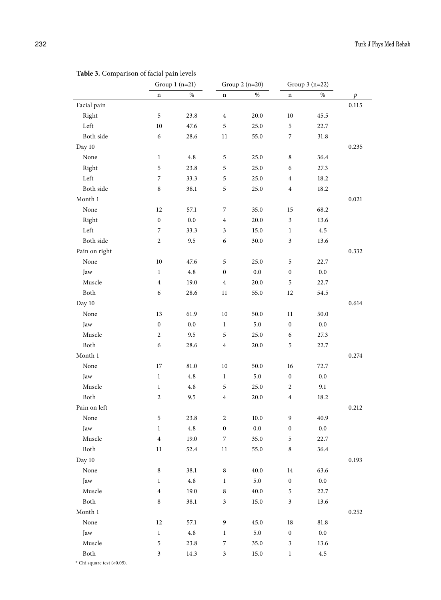|                 | <b>Twore</b> 5. Comparison or factor pain revers<br>Group $1(n=21)$ |          | Group $2(n=20)$  |          | Group $3(n=22)$             |          |                  |
|-----------------|---------------------------------------------------------------------|----------|------------------|----------|-----------------------------|----------|------------------|
|                 | $\mathbf n$                                                         | $\%$     | n                | $\%$     | n                           | $\%$     | $\boldsymbol{p}$ |
| Facial pain     |                                                                     |          |                  |          |                             |          | 0.115            |
| Right           | $\mathbf 5$                                                         | 23.8     | $\bf{4}$         | 20.0     | 10                          | 45.5     |                  |
| Left            | $10\,$                                                              | 47.6     | 5                | 25.0     | $\sqrt{5}$                  | 22.7     |                  |
| Both side       | 6                                                                   | 28.6     | 11               | 55.0     | $\boldsymbol{7}$            | 31.8     |                  |
| Day 10          |                                                                     |          |                  |          |                             |          | 0.235            |
| None            | $\mathbf{1}$                                                        | 4.8      | 5                | 25.0     | $\,8\,$                     | 36.4     |                  |
| Right           | $\mathfrak s$                                                       | 23.8     | 5                | 25.0     | 6                           | 27.3     |                  |
| Left            | $\overline{7}$                                                      | 33.3     | 5                | 25.0     | $\overline{4}$              | 18.2     |                  |
| Both side       | $\,$ 8 $\,$                                                         | 38.1     | 5                | 25.0     | $\overline{4}$              | 18.2     |                  |
| Month 1         |                                                                     |          |                  |          |                             |          | 0.021            |
| None            | 12                                                                  | 57.1     | 7                | 35.0     | 15                          | 68.2     |                  |
| Right           | $\boldsymbol{0}$                                                    | $0.0\,$  | $\overline{4}$   | 20.0     | $\ensuremath{\mathfrak{Z}}$ | 13.6     |                  |
| Left            | 7                                                                   | 33.3     | 3                | 15.0     | $\mathbf{1}$                | $4.5\,$  |                  |
| Both side       | $\overline{2}$                                                      | 9.5      | 6                | $30.0\,$ | $\ensuremath{\mathfrak{Z}}$ | 13.6     |                  |
| Pain on right   |                                                                     |          |                  |          |                             |          | 0.332            |
| None            | $10\,$                                                              | 47.6     | 5                | 25.0     | 5                           | 22.7     |                  |
| Jaw             | $\mathbf{1}$                                                        | 4.8      | $\boldsymbol{0}$ | $0.0\,$  | $\boldsymbol{0}$            | $0.0\,$  |                  |
| Muscle          | $\overline{\mathbf{4}}$                                             | 19.0     | $\,4\,$          | 20.0     | $\mathfrak s$               | 22.7     |                  |
| Both            | $\epsilon$                                                          | 28.6     | 11               | 55.0     | 12                          | 54.5     |                  |
| Day 10          |                                                                     |          |                  |          |                             |          | 0.614            |
| None            | 13                                                                  | 61.9     | $10\,$           | $50.0\,$ | 11                          | 50.0     |                  |
| Jaw             | $\boldsymbol{0}$                                                    | $0.0\,$  | $\mathbf{1}$     | 5.0      | $\boldsymbol{0}$            | $0.0\,$  |                  |
| Muscle          | $\overline{c}$                                                      | 9.5      | 5                | 25.0     | 6                           | 27.3     |                  |
| Both            | 6                                                                   | 28.6     | $\boldsymbol{4}$ | 20.0     | $\mathfrak s$               | 22.7     |                  |
| Month 1         |                                                                     |          |                  |          |                             |          | 0.274            |
| None            | 17                                                                  | 81.0     | $10\,$           | 50.0     | 16                          | 72.7     |                  |
| Jaw             | $\mathbf{1}$                                                        | 4.8      | 1                | 5.0      | $\boldsymbol{0}$            | $0.0\,$  |                  |
| Muscle          | $\mathbf{1}$                                                        | 4.8      | 5                | 25.0     | $\overline{c}$              | 9.1      |                  |
| Both            | $\overline{c}$                                                      | 9.5      | $\overline{4}$   | 20.0     | $\bf{4}$                    | 18.2     |                  |
| Pain on left    |                                                                     |          |                  |          |                             |          | 0.212            |
| None            | 5                                                                   | 23.8     | $\boldsymbol{2}$ | $10.0\,$ | 9                           | 40.9     |                  |
| Jaw             | $\,1$                                                               | $4.8\,$  | $\boldsymbol{0}$ | $0.0\,$  | $\boldsymbol{0}$            | $0.0\,$  |                  |
| Muscle          | $\bf{4}$                                                            | 19.0     | 7                | 35.0     | 5                           | 22.7     |                  |
| Both            | $11\,$                                                              | $52.4\,$ | $11\,$           | $55.0\,$ | $\,$ 8 $\,$                 | 36.4     |                  |
| Day 10          |                                                                     |          |                  |          |                             |          | 0.193            |
| None            | $\,8\,$                                                             | 38.1     | $\,8\,$          | $40.0\,$ | 14                          | 63.6     |                  |
| Jaw             | $\,1$                                                               | $4.8\,$  | $\,1$            | $5.0\,$  | $\boldsymbol{0}$            | $0.0\,$  |                  |
| $\rm{Muscle}$   | $\bf{4}$                                                            | 19.0     | $\,$ 8 $\,$      | 40.0     | $\mathfrak s$               | 22.7     |                  |
| ${\hbox{Both}}$ | $\,$ 8 $\,$                                                         | 38.1     | 3                | 15.0     | $\mathfrak{Z}$              | 13.6     |                  |
| Month 1         |                                                                     |          |                  |          |                             |          | 0.252            |
| None            | $12\,$                                                              | 57.1     | 9                | $45.0\,$ | $18\,$                      | $81.8\,$ |                  |
| Jaw             | $\,1$                                                               | $4.8\,$  | $\mathbf{1}$     | $5.0\,$  | $\boldsymbol{0}$            | $0.0\,$  |                  |
| Muscle          | $\mathfrak s$                                                       | 23.8     | 7                | $35.0\,$ | $\ensuremath{\mathfrak{Z}}$ | 13.6     |                  |
| Both            | $\mathfrak z$                                                       | 14.3     | $\mathfrak{Z}$   | 15.0     | $\,1$                       | $4.5\,$  |                  |

**Table 3.** Comparison of facial pain levels

 $^\ast$  Chi square test (<0.05).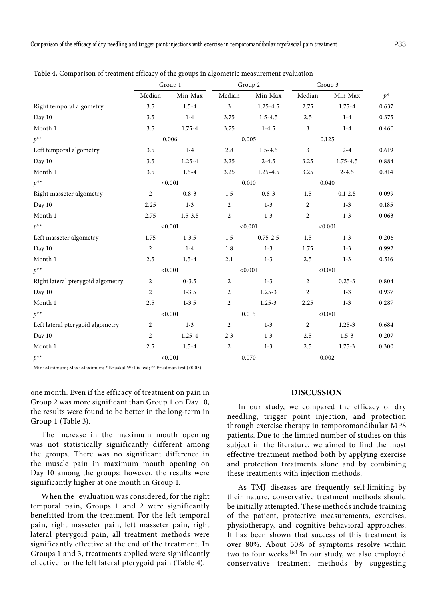|                                   | $\cdots$ $\sigma$ $\cdots$ $\cdots$ $\cdots$<br>Group 1 |             | Group 2        |              | Group 3        |              |       |
|-----------------------------------|---------------------------------------------------------|-------------|----------------|--------------|----------------|--------------|-------|
|                                   | Median                                                  | Min-Max     | Median         | Min-Max      | Median         | Min-Max      | $p^*$ |
| Right temporal algometry          | 3.5                                                     | $1.5 - 4$   | $\mathfrak{Z}$ | $1.25 - 4.5$ | 2.75           | $1.75 - 4$   | 0.637 |
| Day 10                            | 3.5                                                     | $1-4$       | 3.75           | $1.5 - 4.5$  | 2.5            | $1 - 4$      | 0.375 |
| Month 1                           | 3.5                                                     | $1.75 - 4$  | 3.75           | $1 - 4.5$    | 3              | $1 - 4$      | 0.460 |
| $p^{**}$                          | 0.006                                                   |             | 0.005          |              | 0.125          |              |       |
| Left temporal algometry           | 3.5                                                     | $1-4$       | 2.8            | $1.5 - 4.5$  | 3              | $2 - 4$      | 0.619 |
| Day 10                            | 3.5                                                     | $1.25 - 4$  | 3.25           | $2 - 4.5$    | 3.25           | $1.75 - 4.5$ | 0.884 |
| Month 1                           | 3.5                                                     | $1.5 - 4$   | 3.25           | $1.25 - 4.5$ | 3.25           | $2 - 4.5$    | 0.814 |
| $p^{**}$                          |                                                         | < 0.001     | 0.010          |              | 0.040          |              |       |
| Right masseter algometry          | $\overline{2}$                                          | $0.8 - 3$   | 1.5            | $0.8 - 3$    | 1.5            | $0.1 - 2.5$  | 0.099 |
| Day 10                            | 2.25                                                    | $1 - 3$     | $\overline{c}$ | $1 - 3$      | $\overline{2}$ | $1 - 3$      | 0.185 |
| Month 1                           | 2.75                                                    | $1.5 - 3.5$ | $\overline{2}$ | $1 - 3$      | $\overline{2}$ | $1 - 3$      | 0.063 |
| $p^{**}$                          |                                                         | < 0.001     | < 0.001        |              | < 0.001        |              |       |
| Left masseter algometry           | 1.75                                                    | $1 - 3.5$   | 1.5            | $0.75 - 2.5$ | 1.5            | $1 - 3$      | 0.206 |
| Day 10                            | 2                                                       | $1-4$       | 1.8            | $1 - 3$      | 1.75           | $1 - 3$      | 0.992 |
| Month 1                           | 2.5                                                     | $1.5 - 4$   | 2.1            | $1 - 3$      | 2.5            | $1 - 3$      | 0.516 |
| $p^{**}$                          |                                                         | < 0.001     | < 0.001        |              | < 0.001        |              |       |
| Right lateral pterygoid algometry | $\overline{2}$                                          | $0 - 3.5$   | $\overline{c}$ | $1 - 3$      | $\overline{2}$ | $0.25 - 3$   | 0.804 |
| Day 10                            | $\overline{2}$                                          | $1 - 3.5$   | $\overline{c}$ | $1.25 - 3$   | $\overline{2}$ | $1-3$        | 0.937 |
| Month 1                           | 2.5                                                     | $1 - 3.5$   | $\overline{c}$ | $1.25 - 3$   | 2.25           | $1 - 3$      | 0.287 |
| $p^{**}$                          | < 0.001                                                 |             | 0.015          |              | < 0.001        |              |       |
| Left lateral pterygoid algometry  | $\overline{2}$                                          | $1 - 3$     | 2              | $1 - 3$      | 2              | $1.25 - 3$   | 0.684 |
| Day 10                            | $\overline{2}$                                          | $1.25 - 4$  | 2.3            | $1 - 3$      | 2.5            | $1.5 - 3$    | 0.207 |
| Month 1                           | 2.5                                                     | $1.5 - 4$   | $\overline{c}$ | $1 - 3$      | 2.5            | $1.75 - 3$   | 0.300 |
| $p^{**}$<br>< 0.001               |                                                         |             | 0.070          |              | 0.002          |              |       |

**Table 4.** Comparison of treatment efficacy of the groups in algometric measurement evaluation

Min: Minimum; Max: Maximum; \* Kruskal Wallis test; \*\* Friedman test (<0.05).

one month. Even if the efficacy of treatment on pain in Group 2 was more significant than Group 1 on Day 10, the results were found to be better in the long-term in Group 1 (Table 3).

The increase in the maximum mouth opening was not statistically significantly different among the groups. There was no significant difference in the muscle pain in maximum mouth opening on Day 10 among the groups; however, the results were significantly higher at one month in Group 1.

When the evaluation was considered; for the right temporal pain, Groups 1 and 2 were significantly benefitted from the treatment. For the left temporal pain, right masseter pain, left masseter pain, right lateral pterygoid pain, all treatment methods were significantly effective at the end of the treatment. In Groups 1 and 3, treatments applied were significantly effective for the left lateral pterygoid pain (Table 4).

### **DISCUSSION**

In our study, we compared the efficacy of dry needling, trigger point injection, and protection through exercise therapy in temporomandibular MPS patients. Due to the limited number of studies on this subject in the literature, we aimed to find the most effective treatment method both by applying exercise and protection treatments alone and by combining these treatments with injection methods.

As TMJ diseases are frequently self-limiting by their nature, conservative treatment methods should be initially attempted. These methods include training of the patient, protective measurements, exercises, physiotherapy, and cognitive-behavioral approaches. It has been shown that success of this treatment is over 80%. About 50% of symptoms resolve within two to four weeks.<sup>[16]</sup> In our study, we also employed conservative treatment methods by suggesting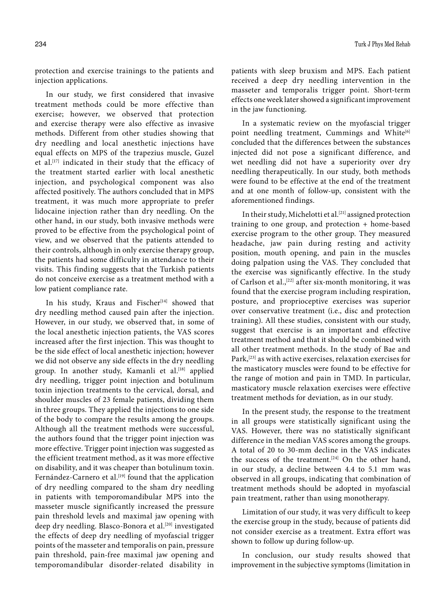protection and exercise trainings to the patients and injection applications.

In our study, we first considered that invasive treatment methods could be more effective than exercise; however, we observed that protection and exercise therapy were also effective as invasive methods. Different from other studies showing that dry needling and local anesthetic injections have equal effects on MPS of the trapezius muscle, Guzel et al.[17] indicated in their study that the efficacy of the treatment started earlier with local anesthetic injection, and psychological component was also affected positively. The authors concluded that in MPS treatment, it was much more appropriate to prefer lidocaine injection rather than dry needling. On the other hand, in our study, both invasive methods were proved to be effective from the psychological point of view, and we observed that the patients attended to their controls, although in only exercise therapy group, the patients had some difficulty in attendance to their visits. This finding suggests that the Turkish patients do not conceive exercise as a treatment method with a low patient compliance rate.

In his study, Kraus and Fischer<sup>[14]</sup> showed that dry needling method caused pain after the injection. However, in our study, we observed that, in some of the local anesthetic injection patients, the VAS scores increased after the first injection. This was thought to be the side effect of local anesthetic injection; however we did not observe any side effects in the dry needling group. In another study, Kamanli et al.<sup>[18]</sup> applied dry needling, trigger point injection and botulinum toxin injection treatments to the cervical, dorsal, and shoulder muscles of 23 female patients, dividing them in three groups. They applied the injections to one side of the body to compare the results among the groups. Although all the treatment methods were successful, the authors found that the trigger point injection was more effective. Trigger point injection was suggested as the efficient treatment method, as it was more effective on disability, and it was cheaper than botulinum toxin. Fernández-Carnero et al.<sup>[19]</sup> found that the application of dry needling compared to the sham dry needling in patients with temporomandibular MPS into the masseter muscle significantly increased the pressure pain threshold levels and maximal jaw opening with deep dry needling. Blasco-Bonora et al.<sup>[20]</sup> investigated the effects of deep dry needling of myofascial trigger points of the masseter and temporalis on pain, pressure pain threshold, pain-free maximal jaw opening and temporomandibular disorder-related disability in patients with sleep bruxism and MPS. Each patient received a deep dry needling intervention in the masseter and temporalis trigger point. Short-term effects one week later showed a significant improvement in the jaw functioning.

In a systematic review on the myofascial trigger point needling treatment, Cummings and White<sup>[6]</sup> concluded that the differences between the substances injected did not pose a significant difference, and wet needling did not have a superiority over dry needling therapeutically. In our study, both methods were found to be effective at the end of the treatment and at one month of follow-up, consistent with the aforementioned findings.

In their study, Michelotti et al.<sup>[21]</sup> assigned protection training to one group, and protection + home-based exercise program to the other group. They measured headache, jaw pain during resting and activity position, mouth opening, and pain in the muscles doing palpation using the VAS. They concluded that the exercise was significantly effective. In the study of Carlson et al.,[22] after six-month monitoring, it was found that the exercise program including respiration, posture, and proprioceptive exercises was superior over conservative treatment (i.e., disc and protection training). All these studies, consistent with our study, suggest that exercise is an important and effective treatment method and that it should be combined with all other treatment methods. In the study of Bae and Park,<sup>[23]</sup> as with active exercises, relaxation exercises for the masticatory muscles were found to be effective for the range of motion and pain in TMD. In particular, masticatory muscle relaxation exercises were effective treatment methods for deviation, as in our study.

In the present study, the response to the treatment in all groups were statistically significant using the VAS. However, there was no statistically significant difference in the median VAS scores among the groups. A total of 20 to 30-mm decline in the VAS indicates the success of the treatment.<sup>[24]</sup> On the other hand, in our study, a decline between 4.4 to 5.1 mm was observed in all groups, indicating that combination of treatment methods should be adopted in myofascial pain treatment, rather than using monotherapy.

Limitation of our study, it was very difficult to keep the exercise group in the study, because of patients did not consider exercise as a treatment. Extra effort was shown to follow up during follow-up.

In conclusion, our study results showed that improvement in the subjective symptoms (limitation in